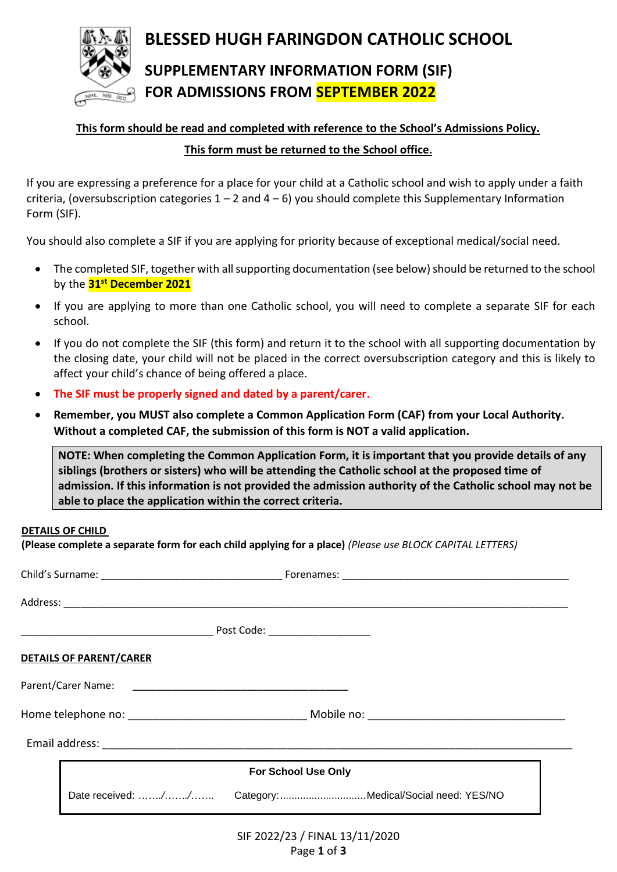

**BLESSED HUGH FARINGDON CATHOLIC SCHOOL SUPPLEMENTARY INFORMATION FORM (SIF) FOR ADMISSIONS FROM SEPTEMBER 2022**

# **This form should be read and completed with reference to the School's Admissions Policy. This form must be returned to the School office.**

If you are expressing a preference for a place for your child at a Catholic school and wish to apply under a faith criteria, (oversubscription categories  $1 - 2$  and  $4 - 6$ ) you should complete this Supplementary Information Form (SIF).

You should also complete a SIF if you are applying for priority because of exceptional medical/social need.

- The completed SIF, together with all supporting documentation (see below) should be returned to the school by the **31st December 2021**
- If you are applying to more than one Catholic school, you will need to complete a separate SIF for each school.
- If you do not complete the SIF (this form) and return it to the school with all supporting documentation by the closing date, your child will not be placed in the correct oversubscription category and this is likely to affect your child's chance of being offered a place.
- **The SIF must be properly signed and dated by a parent/carer.**
- **Remember, you MUST also complete a Common Application Form (CAF) from your Local Authority. Without a completed CAF, the submission of this form is NOT a valid application.**

**NOTE: When completing the Common Application Form, it is important that you provide details of any siblings (brothers or sisters) who will be attending the Catholic school at the proposed time of admission. If this information is not provided the admission authority of the Catholic school may not be able to place the application within the correct criteria.**

#### **DETAILS OF CHILD**

**(Please complete a separate form for each child applying for a place)** *(Please use BLOCK CAPITAL LETTERS)* 

|  | <b>DETAILS OF PARENT/CARER</b>                          |                                |  |  |  |
|--|---------------------------------------------------------|--------------------------------|--|--|--|
|  |                                                         |                                |  |  |  |
|  |                                                         |                                |  |  |  |
|  |                                                         |                                |  |  |  |
|  | <b>For School Use Only</b>                              |                                |  |  |  |
|  | Date received: // Category: Medical/Social need: YES/NO |                                |  |  |  |
|  |                                                         | SIF 2022/23 / FINAL 13/11/2020 |  |  |  |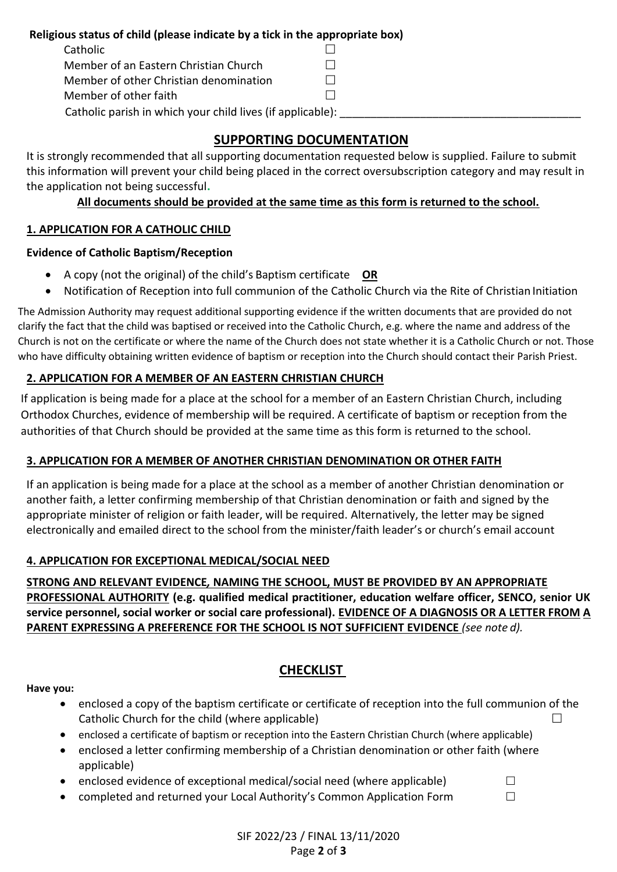### **Religious status of child (please indicate by a tick in the appropriate box)**

| Catholic                               |              |
|----------------------------------------|--------------|
| Member of an Eastern Christian Church  | $\mathbf{1}$ |
| Member of other Christian denomination | $\mathbf{1}$ |
| Member of other faith                  | $\Box$       |
|                                        |              |

Catholic parish in which your child lives (if applicable):

# **SUPPORTING DOCUMENTATION**

It is strongly recommended that all supporting documentation requested below is supplied. Failure to submit this information will prevent your child being placed in the correct oversubscription category and may result in the application not being successful**.**

### **All documents should be provided at the same time as this form is returned to the school.**

# **1. APPLICATION FOR A CATHOLIC CHILD**

# **Evidence of Catholic Baptism/Reception**

- A copy (not the original) of the child's Baptism certificate **OR**
- Notification of Reception into full communion of the Catholic Church via the Rite of Christian Initiation

The Admission Authority may request additional supporting evidence if the written documents that are provided do not clarify the fact that the child was baptised or received into the Catholic Church, e.g. where the name and address of the Church is not on the certificate or where the name of the Church does not state whether it is a Catholic Church or not. Those who have difficulty obtaining written evidence of baptism or reception into the Church should contact their Parish Priest.

# **2. APPLICATION FOR A MEMBER OF AN EASTERN CHRISTIAN CHURCH**

If application is being made for a place at the school for a member of an Eastern Christian Church, including Orthodox Churches, evidence of membership will be required. A certificate of baptism or reception from the authorities of that Church should be provided at the same time as this form is returned to the school.

### **3. APPLICATION FOR A MEMBER OF ANOTHER CHRISTIAN DENOMINATION OR OTHER FAITH**

If an application is being made for a place at the school as a member of another Christian denomination or another faith, a letter confirming membership of that Christian denomination or faith and signed by the appropriate minister of religion or faith leader, will be required. Alternatively, the letter may be signed electronically and emailed direct to the school from the minister/faith leader's or church's email account

### **4. APPLICATION FOR EXCEPTIONAL MEDICAL/SOCIAL NEED**

**STRONG AND RELEVANT EVIDENCE***,* **NAMING THE SCHOOL, MUST BE PROVIDED BY AN APPROPRIATE PROFESSIONAL AUTHORITY (e.g. qualified medical practitioner, education welfare officer, SENCO, senior UK service personnel, social worker or social care professional). EVIDENCE OF A DIAGNOSIS OR A LETTER FROM A PARENT EXPRESSING A PREFERENCE FOR THE SCHOOL IS NOT SUFFICIENT EVIDENCE** *(see note d).*

# **CHECKLIST**

**Have you:**

- enclosed a copy of the baptism certificate or certificate of reception into the full communion of the Catholic Church for the child (where applicable)  $\Box$
- enclosed a certificate of baptism or reception into the Eastern Christian Church (where applicable)
- enclosed a letter confirming membership of a Christian denomination or other faith (where applicable)
- enclosed evidence of exceptional medical/social need (where applicable)  $\Box$
- completed and returned your Local Authority's Common Application Form  $\Box$

SIF 2022/23 / FINAL 13/11/2020 Page **2** of **3**